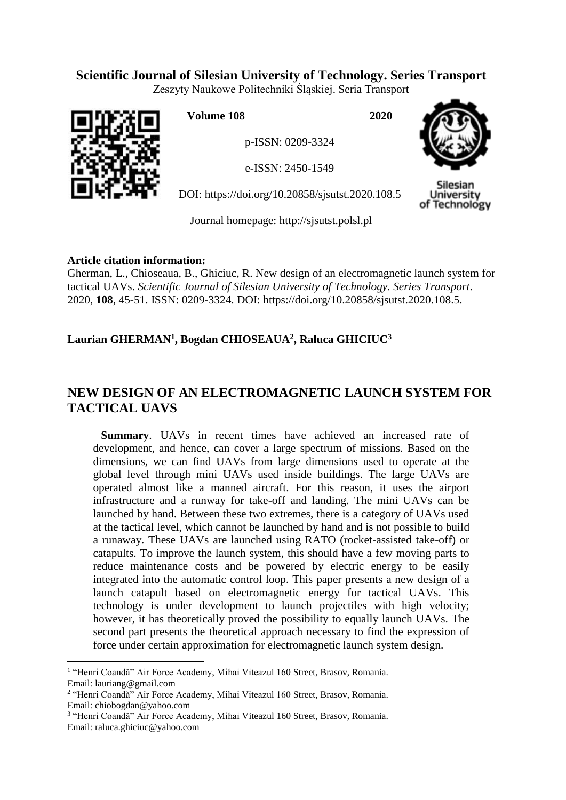# **Scientific Journal of Silesian University of Technology. Series Transport**

Zeszyty Naukowe Politechniki Śląskiej. Seria Transport



 $\overline{a}$ 

**Volume 108 2020**

p-ISSN: 0209-3324

e-ISSN: 2450-1549

DOI: https://doi.org/10.20858/sjsutst.2020.108.5



Silesian Jniversity of Technology

Journal homepage: [http://sjsutst.polsl.pl](http://sjsutst.polsl.pl/)

## **Article citation information:**

Gherman, L., Chioseaua, B., Ghiciuc, R. New design of an electromagnetic launch system for tactical UAVs. *Scientific Journal of Silesian University of Technology. Series Transport*. 2020, **108**, 45-51. ISSN: 0209-3324. DOI: https://doi.org/10.20858/sjsutst.2020.108.5.

## **Laurian GHERMAN<sup>1</sup> , Bogdan CHIOSEAUA<sup>2</sup> , Raluca GHICIUC<sup>3</sup>**

# **NEW DESIGN OF AN ELECTROMAGNETIC LAUNCH SYSTEM FOR TACTICAL UAVS**

**Summary**. UAVs in recent times have achieved an increased rate of development, and hence, can cover a large spectrum of missions. Based on the dimensions, we can find UAVs from large dimensions used to operate at the global level through mini UAVs used inside buildings. The large UAVs are operated almost like a manned aircraft. For this reason, it uses the airport infrastructure and a runway for take-off and landing. The mini UAVs can be launched by hand. Between these two extremes, there is a category of UAVs used at the tactical level, which cannot be launched by hand and is not possible to build a runaway. These UAVs are launched using RATO (rocket-assisted take-off) or catapults. To improve the launch system, this should have a few moving parts to reduce maintenance costs and be powered by electric energy to be easily integrated into the automatic control loop. This paper presents a new design of a launch catapult based on electromagnetic energy for tactical UAVs. This technology is under development to launch projectiles with high velocity; however, it has theoretically proved the possibility to equally launch UAVs. The second part presents the theoretical approach necessary to find the expression of force under certain approximation for electromagnetic launch system design.

<sup>&</sup>lt;sup>1</sup> "Henri Coandă" Air Force Academy, Mihai Viteazul 160 Street, Brasov, Romania. Email: lauriang@gmail.com

<sup>&</sup>lt;sup>2</sup> "Henri Coandă" Air Force Academy, Mihai Viteazul 160 Street, Brasov, Romania. Email: chiobogdan@yahoo.com

<sup>&</sup>lt;sup>3</sup> "Henri Coandă" Air Force Academy, Mihai Viteazul 160 Street, Brasov, Romania. Email: raluca.ghiciuc@yahoo.com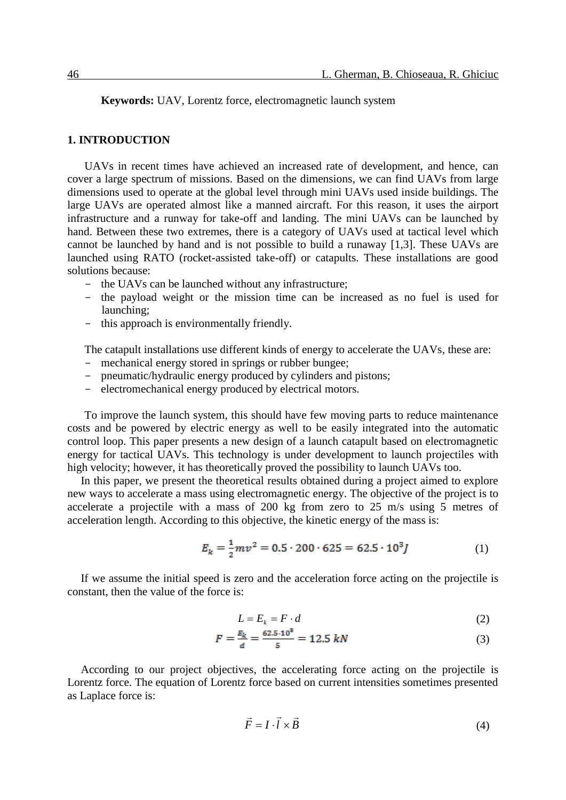**Keywords:** UAV, Lorentz force, electromagnetic launch system

### **1. INTRODUCTION**

UAVs in recent times have achieved an increased rate of development, and hence, can cover a large spectrum of missions. Based on the dimensions, we can find UAVs from large dimensions used to operate at the global level through mini UAVs used inside buildings. The large UAVs are operated almost like a manned aircraft. For this reason, it uses the airport infrastructure and a runway for take-off and landing. The mini UAVs can be launched by hand. Between these two extremes, there is a category of UAVs used at tactical level which cannot be launched by hand and is not possible to build a runaway [1,3]. These UAVs are launched using RATO (rocket-assisted take-off) or catapults. These installations are good solutions because:

- the UAVs can be launched without any infrastructure;
- the payload weight or the mission time can be increased as no fuel is used for launching;
- this approach is environmentally friendly.

The catapult installations use different kinds of energy to accelerate the UAVs, these are:

- mechanical energy stored in springs or rubber bungee;
- pneumatic/hydraulic energy produced by cylinders and pistons;
- electromechanical energy produced by electrical motors.

To improve the launch system, this should have few moving parts to reduce maintenance costs and be powered by electric energy as well to be easily integrated into the automatic control loop. This paper presents a new design of a launch catapult based on electromagnetic energy for tactical UAVs. This technology is under development to launch projectiles with high velocity; however, it has theoretically proved the possibility to launch UAVs too.

In this paper, we present the theoretical results obtained during a project aimed to explore new ways to accelerate a mass using electromagnetic energy. The objective of the project is to accelerate a projectile with a mass of 200 kg from zero to 25 m/s using 5 metres of acceleration length. According to this objective, the kinetic energy of the mass is:

$$
E_k = \frac{1}{2}mv^2 = 0.5 \cdot 200 \cdot 625 = 62.5 \cdot 10^3 J \tag{1}
$$

If we assume the initial speed is zero and the acceleration force acting on the projectile is constant, then the value of the force is:

$$
L = E_k = F \cdot d \tag{2}
$$

$$
F = \frac{E_k}{d} = \frac{62.5 \cdot 10^8}{5} = 12.5 \ kN \tag{3}
$$

According to our project objectives, the accelerating force acting on the projectile is Lorentz force. The equation of Lorentz force based on current intensities sometimes presented as Laplace force is:

$$
\vec{F} = I \cdot \vec{l} \times \vec{B} \tag{4}
$$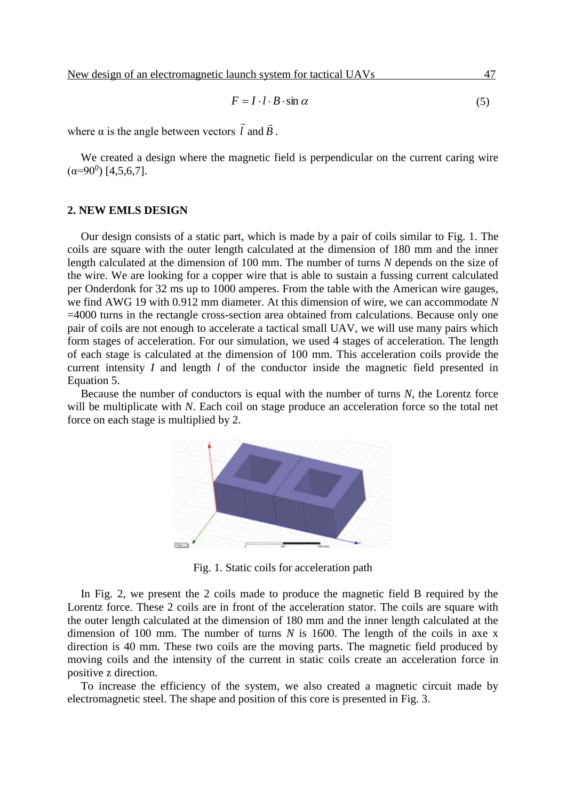$$
F = I \cdot l \cdot B \cdot \sin \alpha \tag{5}
$$

where α is the angle between vectors *l*  $\rightarrow$ and *B*  $\rightarrow$ .

We created a design where the magnetic field is perpendicular on the current caring wire  $(\alpha=90^0)$  [4,5,6,7].

#### **2. NEW EMLS DESIGN**

Our design consists of a static part, which is made by a pair of coils similar to Fig. 1. The coils are square with the outer length calculated at the dimension of 180 mm and the inner length calculated at the dimension of 100 mm. The number of turns *N* depends on the size of the wire. We are looking for a copper wire that is able to sustain a fussing current calculated per Onderdonk for 32 ms up to 1000 amperes. From the table with the American wire gauges, we find AWG 19 with 0.912 mm diameter. At this dimension of wire, we can accommodate *N* =4000 turns in the rectangle cross-section area obtained from calculations. Because only one pair of coils are not enough to accelerate a tactical small UAV, we will use many pairs which form stages of acceleration. For our simulation, we used 4 stages of acceleration. The length of each stage is calculated at the dimension of 100 mm. This acceleration coils provide the current intensity *I* and length *l* of the conductor inside the magnetic field presented in Equation 5.

Because the number of conductors is equal with the number of turns *N*, the Lorentz force will be multiplicate with *N*. Each coil on stage produce an acceleration force so the total net force on each stage is multiplied by 2.



Fig. 1. Static coils for acceleration path

In Fig. 2, we present the 2 coils made to produce the magnetic field B required by the Lorentz force. These 2 coils are in front of the acceleration stator. The coils are square with the outer length calculated at the dimension of 180 mm and the inner length calculated at the dimension of 100 mm. The number of turns *N* is 1600. The length of the coils in axe x direction is 40 mm. These two coils are the moving parts. The magnetic field produced by moving coils and the intensity of the current in static coils create an acceleration force in positive z direction.

To increase the efficiency of the system, we also created a magnetic circuit made by electromagnetic steel. The shape and position of this core is presented in Fig. 3.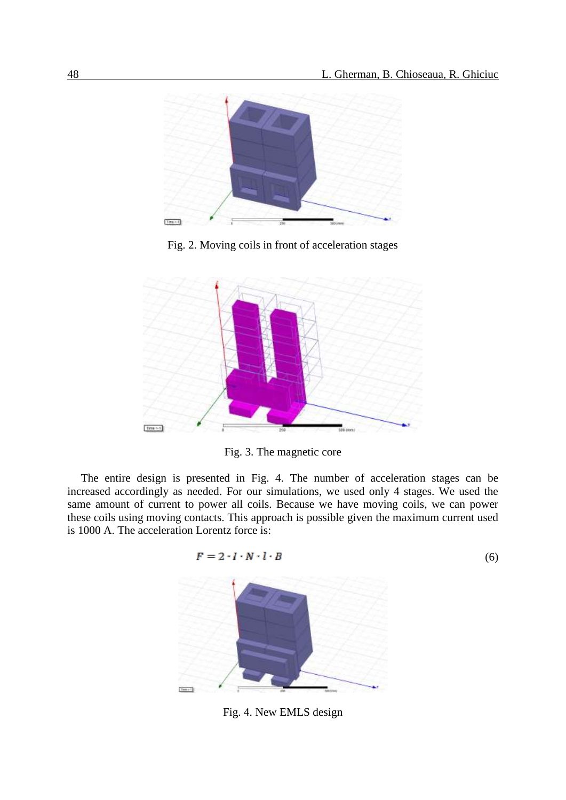

Fig. 2. Moving coils in front of acceleration stages



Fig. 3. The magnetic core

The entire design is presented in Fig. 4. The number of acceleration stages can be increased accordingly as needed. For our simulations, we used only 4 stages. We used the same amount of current to power all coils. Because we have moving coils, we can power these coils using moving contacts. This approach is possible given the maximum current used is 1000 A. The acceleration Lorentz force is:

$$
F = 2 \cdot I \cdot N \cdot l \cdot B \tag{6}
$$



Fig. 4. New EMLS design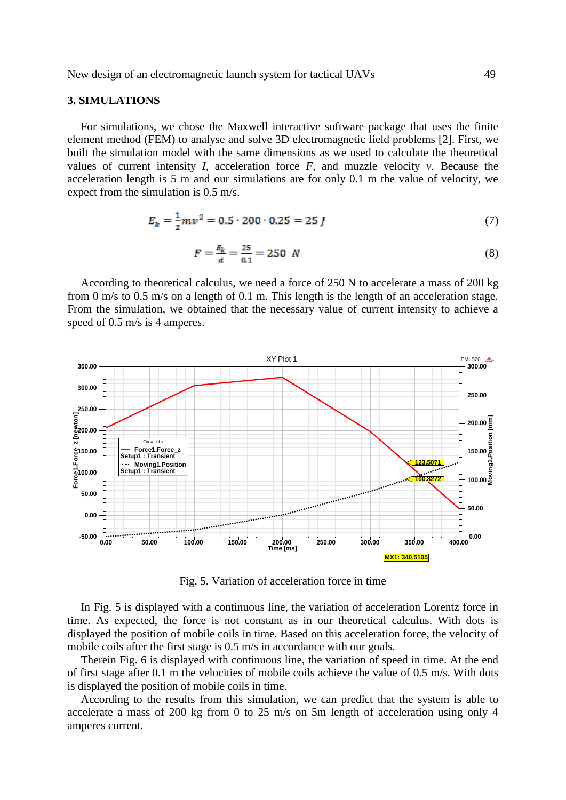#### **3. SIMULATIONS**

For simulations, we chose the Maxwell interactive software package that uses the finite element method (FEM) to analyse and solve 3D electromagnetic field problems [2]. First, we built the simulation model with the same dimensions as we used to calculate the theoretical values of current intensity *I*, acceleration force  $F$ , and muzzle velocity  $v$ . Because the acceleration length is 5 m and our simulations are for only 0.1 m the value of velocity, we expect from the simulation is 0.5 m/s.

$$
E_k = \frac{1}{2}mv^2 = 0.5 \cdot 200 \cdot 0.25 = 25 J \tag{7}
$$

$$
F = \frac{E_k}{d} = \frac{25}{0.1} = 250 \text{ N}
$$
 (8)

According to theoretical calculus, we need a force of 250 N to accelerate a mass of 200 kg from 0 m/s to 0.5 m/s on a length of 0.1 m. This length is the length of an acceleration stage. From the simulation, we obtained that the necessary value of current intensity to achieve a speed of 0.5 m/s is 4 amperes.



Fig. 5. Variation of acceleration force in time

In Fig. 5 is displayed with a continuous line, the variation of acceleration Lorentz force in time. As expected, the force is not constant as in our theoretical calculus. With dots is displayed the position of mobile coils in time. Based on this acceleration force, the velocity of mobile coils after the first stage is 0.5 m/s in accordance with our goals.

Therein Fig. 6 is displayed with continuous line, the variation of speed in time. At the end of first stage after 0.1 m the velocities of mobile coils achieve the value of 0.5 m/s. With dots is displayed the position of mobile coils in time.

According to the results from this simulation, we can predict that the system is able to accelerate a mass of 200 kg from 0 to 25 m/s on 5m length of acceleration using only 4 amperes current.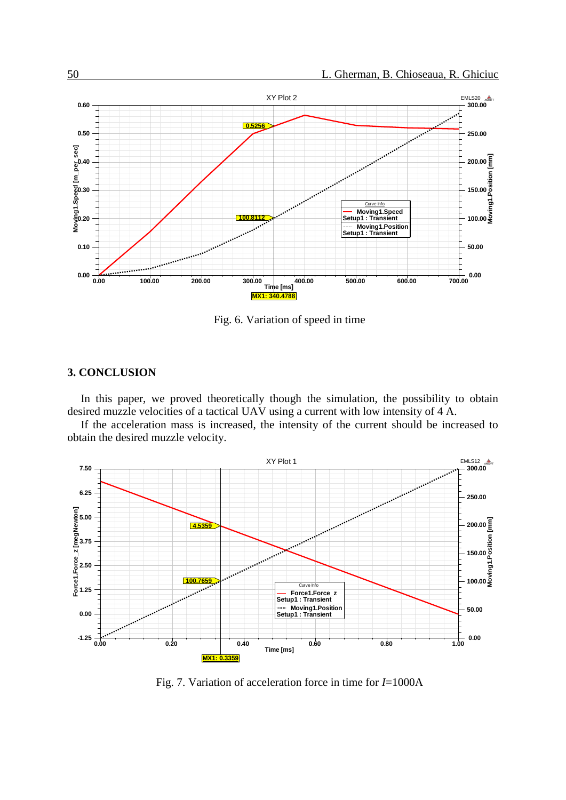

Fig. 6. Variation of speed in time

### **3. CONCLUSION**

In this paper, we proved theoretically though the simulation, the possibility to obtain desired muzzle velocities of a tactical UAV using a current with low intensity of 4 A.

If the acceleration mass is increased, the intensity of the current should be increased to obtain the desired muzzle velocity.



Fig. 7. Variation of acceleration force in time for *I*=1000A